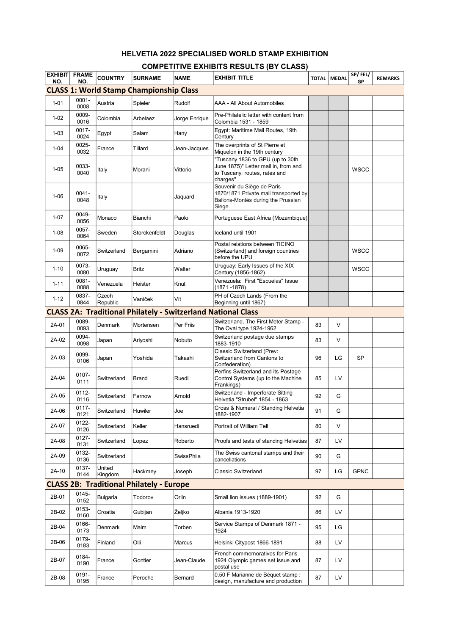## HELVETIA 2022 SPECIALISED WORLD STAMP EXHIBITION

## COMPETITIVE EXHIBITS RESULTS (BY CLASS)

| EXHIBIT<br>NO. | <b>FRAME</b><br>NO. | <b>COUNTRY</b>    | <b>SURNAME</b>                                  | <b>NAME</b>   | EXHIBIT TITLE                                                                                                         | <b>TOTAL</b> | <b>MEDAL</b> | SP/FEL/<br>GP | <b>REMARKS</b> |
|----------------|---------------------|-------------------|-------------------------------------------------|---------------|-----------------------------------------------------------------------------------------------------------------------|--------------|--------------|---------------|----------------|
|                |                     |                   | <b>CLASS 1: World Stamp Championship Class</b>  |               |                                                                                                                       |              |              |               |                |
| $1 - 01$       | $0001 -$<br>0008    | Austria           | Spieler                                         | Rudolf        | AAA - All About Automobiles                                                                                           |              |              |               |                |
| $1 - 02$       | 0009-<br>0016       | Colombia          | Arbelaez                                        | Jorge Enrique | Pre-Philatelic letter with content from<br>Colombia 1531 - 1859                                                       |              |              |               |                |
| $1 - 03$       | 0017-<br>0024       | Egypt             | Salam                                           | Hany          | Egypt: Maritime Mail Routes, 19th<br>Century                                                                          |              |              |               |                |
| $1 - 04$       | 0025-<br>0032       | France            | Tillard                                         | Jean-Jacques  | The overprints of St Pierre et<br>Miquelon in the 19th century                                                        |              |              |               |                |
| $1 - 05$       | 0033-<br>0040       | Italy             | Morani                                          | Vittorio      | "Tuscany 1836 to GPU (up to 30th<br>June 1875)" Letter mail in, from and<br>to Tuscany: routes, rates and<br>charges" |              |              | <b>WSCC</b>   |                |
| $1 - 06$       | $0041 -$<br>0048    | Italy             |                                                 | Jaquard       | Souvenir du Siège de Paris<br>1870/1871 Private mail transported by<br>Ballons-Montés during the Prussian<br>Siege    |              |              |               |                |
| $1 - 07$       | 0049-<br>0056       | Monaco            | Bianchi                                         | Paolo         | Portuguese East Africa (Mozambique)                                                                                   |              |              |               |                |
| $1 - 08$       | 0057-<br>0064       | Sweden            | Storckenfeldt                                   | Douglas       | Iceland until 1901                                                                                                    |              |              |               |                |
| $1 - 09$       | 0065-<br>0072       | Switzerland       | Bergamini                                       | Adriano       | Postal relations between TICINO<br>(Switzerland) and foreign countries<br>before the UPU                              |              |              | <b>WSCC</b>   |                |
| $1 - 10$       | 0073-<br>0080       | Uruguay           | <b>Britz</b>                                    | Walter        | Uruguay: Early Issues of the XIX<br>Century (1856-1862)                                                               |              |              | <b>WSCC</b>   |                |
| $1 - 11$       | $0081 -$<br>0088    | Venezuela         | Heister                                         | Knut          | Venezuela: First "Escuelas" Issue<br>(1871 - 1878)                                                                    |              |              |               |                |
| $1 - 12$       | 0837-<br>0844       | Czech<br>Republic | Vaníček                                         | Vít           | PH of Czech Lands (From the<br>Beginning until 1867)                                                                  |              |              |               |                |
|                |                     |                   |                                                 |               | <b>CLASS 2A: Traditional Philately - Switzerland National Class</b>                                                   |              |              |               |                |
| 2A-01          | 0089-<br>0093       | Denmark           | Mortensen                                       | Per Friis     | Switzerland, The First Meter Stamp -<br>The Oval type 1924-1962                                                       | 83           | V            |               |                |
| 2A-02          | 0094-<br>0098       | Japan             | Ariyoshi                                        | Nobuto        | Switzerland postage due stamps<br>1883-1910                                                                           | 83           | V            |               |                |
| 2A-03          | 0099-<br>0106       | Japan             | Yoshida                                         | Takashi       | Classic Switzerland (Prev:<br>Switzerland from Cantons to<br>Confederation)                                           | 96           | LG           | <b>SP</b>     |                |
| 2A-04          | 0107-<br>0111       | Switzerland       | Brand                                           | Ruedi         | Perfins Switzerland and its Postage<br>Control Systems (up to the Machine<br>Frankings)                               | 85           | LV           |               |                |
| 2A-05          | 0112-<br>0116       | Switzerland       | Farnow                                          | Arnold        | Switzerland - Imperforate Sitting<br>Helvetia "Strubel" 1854 - 1863                                                   | 92           | G            |               |                |
| 2A-06          | 0117-<br>0121       | Switzerland       | Huwiler                                         | Joe           | Cross & Numeral / Standing Helvetia<br>1882-1907                                                                      | 91           | G            |               |                |
| 2A-07          | 0122-<br>0126       | Switzerland       | Keller                                          | Hansruedi     | Portrait of William Tell                                                                                              | 80           | $\vee$       |               |                |
| 2A-08          | 0127-<br>0131       | Switzerland       | Lopez                                           | Roberto       | Proofs and tests of standing Helvetias                                                                                | 87           | LV           |               |                |
| 2A-09          | 0132-<br>0136       | Switzerland       |                                                 | SwissPhila    | The Swiss cantonal stamps and their<br>cancellations                                                                  | 90           | G            |               |                |
| 2A-10          | 0137-<br>0144       | United<br>Kingdom | Hackmey                                         | Joseph        | Classic Switzerland                                                                                                   | 97           | LG           | <b>GPNC</b>   |                |
|                |                     |                   | <b>CLASS 2B: Traditional Philately - Europe</b> |               |                                                                                                                       |              |              |               |                |
| 2B-01          | 0145-<br>0152       | Bulgaria          | Todorov                                         | Orlin         | Small lion issues (1889-1901)                                                                                         | 92           | G            |               |                |
| 2B-02          | 0153-<br>0160       | Croatia           | Gubijan                                         | Željko        | Albania 1913-1920                                                                                                     | 86           | LV           |               |                |
| 2B-04          | 0166-<br>0173       | Denmark           | Malm                                            | Torben        | Service Stamps of Denmark 1871 -<br>1924                                                                              | 95           | LG           |               |                |
| 2B-06          | 0179-<br>0183       | Finland           | Olli                                            | Marcus        | Helsinki Citypost 1866-1891                                                                                           | 88           | LV           |               |                |
| 2B-07          | 0184-<br>0190       | France            | Gontier                                         | Jean-Claude   | French commemoratives for Paris<br>1924 Olympic games set issue and<br>postal use                                     | 87           | LV           |               |                |
| 2B-08          | 0191-<br>0195       | France            | Peroche                                         | Bernard       | 0,50 F Marianne de Béquet stamp :<br>design, manufacture and production                                               | 87           | LV           |               |                |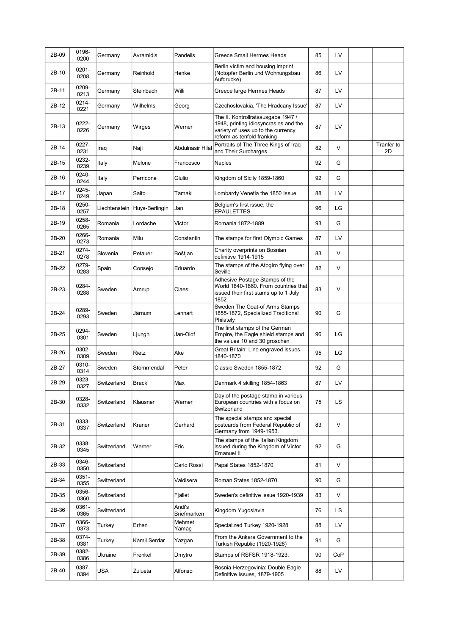| 2B-09 | 0196-<br>0200 | Germany       | Avramidis      | Pandelis              | Greece Small Hermes Heads                                                                                                                       | 85 | LV     |                  |
|-------|---------------|---------------|----------------|-----------------------|-------------------------------------------------------------------------------------------------------------------------------------------------|----|--------|------------------|
| 2B-10 | 0201-<br>0208 | Germany       | Reinhold       | Henke                 | Berlin victim and housing imprint<br>(Notopfer Berlin und Wohnungsbau<br>Aufdrucke)                                                             | 86 | LV     |                  |
| 2B-11 | 0209-<br>0213 | Germany       | Steinbach      | Willi                 | Greece large Hermes Heads                                                                                                                       | 87 | LV     |                  |
| 2B-12 | 0214-<br>0221 | Germany       | Wilhelms       | Georg                 | Czechoslovakia, 'The Hradcany Issue'                                                                                                            | 87 | LV     |                  |
| 2B-13 | 0222-<br>0226 | Germany       | Wirges         | Werner                | The II. Kontrollratsausgabe 1947 /<br>1948, printing idiosyncrasies and the<br>variety of uses up to the currency<br>reform as tenfold franking | 87 | LV     |                  |
| 2B-14 | 0227-<br>0231 | Iraq          | Naji           | Abdulnasir Hilal      | Portraits of The Three Kings of Iraq<br>and Their Surcharges.                                                                                   | 82 | V      | Tranfer to<br>2D |
| 2B-15 | 0232-<br>0239 | Italy         | Melone         | Francesco             | <b>Naples</b>                                                                                                                                   | 92 | G      |                  |
| 2B-16 | 0240-<br>0244 | Italy         | Perricone      | Giulio                | Kingdom of Sicily 1859-1860                                                                                                                     | 92 | G      |                  |
| 2B-17 | 0245-<br>0249 | Japan         | Saito          | Tamaki                | Lombardy Venetia the 1850 Issue                                                                                                                 | 88 | LV     |                  |
| 2B-18 | 0250-<br>0257 | Liechtenstein | Huys-Berlingin | Jan                   | Belgium's first issue, the<br><b>EPAULETTES</b>                                                                                                 | 96 | LG     |                  |
| 2B-19 | 0258-<br>0265 | Romania       | Lordache       | Victor                | Romania 1872-1889                                                                                                                               | 93 | G      |                  |
| 2B-20 | 0266-<br>0273 | Romania       | Milu           | Constantin            | The stamps for first Olympic Games                                                                                                              | 87 | LV     |                  |
| 2B-21 | 0274-<br>0278 | Slovenia      | Petauer        | Boštjan               | Charity overprints on Bosnian<br>definitive 1914-1915                                                                                           | 83 | V      |                  |
| 2B-22 | 0279-<br>0283 | Spain         | Consejo        | Eduardo               | The stamps of the Atogiro flying over<br>Seville                                                                                                | 82 | $\vee$ |                  |
| 2B-23 | 0284-<br>0288 | Sweden        | Arnrup         | Claes                 | Adhesive Postage Stamps of the<br>World 1840-1860. From countries that<br>issued their first stams up to 1 July<br>1852                         | 83 | $\vee$ |                  |
| 2B-24 | 0289-<br>0293 | Sweden        | Järnum         | Lennart               | Sweden The Coat-of Arms Stamps<br>1855-1872, Specialized Traditional<br>Philately                                                               | 90 | G      |                  |
| 2B-25 | 0294-<br>0301 | Sweden        | Ljungh         | Jan-Olof              | The first stamps of the German<br>Empire, the Eagle shield stamps and<br>the values 10 and 30 groschen                                          | 96 | LG     |                  |
| 2B-26 | 0302-<br>0309 | Sweden        | Rietz          | Ake                   | Great Britain: Line engraved issues<br>1840-1870                                                                                                | 95 | LG     |                  |
| 2B-27 | 0310-<br>0314 | Sweden        | Stommendal     | Peter                 | Classic Sweden 1855-1872                                                                                                                        | 92 | G      |                  |
| 2B-29 | 0323-<br>0327 | Switzerland   | <b>Brack</b>   | Max                   | Denmark 4 skilling 1854-1863                                                                                                                    | 87 | LV     |                  |
| 2B-30 | 0328-<br>0332 | Switzerland   | Klausner       | Werner                | Day of the postage stamp in various<br>European countries with a focus on<br>Switzerland                                                        | 75 | LS     |                  |
| 2B-31 | 0333-<br>0337 | Switzerland   | Kraner         | Gerhard               | The special stamps and special<br>postcards from Federal Republic of<br>Germany from 1949-1953.                                                 | 83 | $\vee$ |                  |
| 2B-32 | 0338-<br>0345 | Switzerland   | Werner         | Eric                  | The stamps of the Italian Kingdom<br>issued during the Kingdom of Victor<br>Emanuel II                                                          | 92 | G      |                  |
| 2B-33 | 0346-<br>0350 | Switzerland   |                | Carlo Rossi           | Papal States 1852-1870                                                                                                                          | 81 | V      |                  |
| 2B-34 | 0351-<br>0355 | Switzerland   |                | Valdisera             | Roman States 1852-1870                                                                                                                          | 90 | G      |                  |
| 2B-35 | 0356-<br>0360 | Switzerland   |                | Fjället               | Sweden's definitive issue 1920-1939                                                                                                             | 83 | V      |                  |
| 2B-36 | 0361-<br>0365 | Switzerland   |                | Andi's<br>Briefmarken | Kingdom Yugoslavia                                                                                                                              | 76 | LS     |                  |
| 2B-37 | 0366-<br>0373 | Turkey        | Erhan          | Mehmet<br>Yamaç       | Specialized Turkey 1920-1928                                                                                                                    | 88 | LV     |                  |
| 2B-38 | 0374-<br>0381 | Turkey        | Kamil Serdar   | Yazgan                | From the Ankara Government to the<br>Turkish Republic (1920-1928)                                                                               | 91 | G      |                  |
| 2B-39 | 0382-<br>0386 | Ukraine       | Frenkel        | Dmytro                | Stamps of RSFSR 1918-1923.                                                                                                                      | 90 | CoP    |                  |
| 2B-40 | 0387-<br>0394 | <b>USA</b>    | Zulueta        | Alfonso               | Bosnia-Herzegovinia: Double Eagle<br>Definitive Issues, 1879-1905                                                                               | 88 | LV     |                  |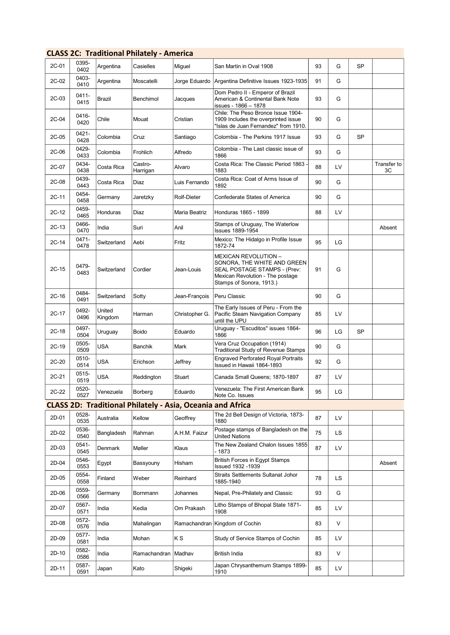|         |               |                   | <b>CLASS 2C: Traditional Philately - America</b>                  |                |                                                                                                                                                     |    |           |           |                   |
|---------|---------------|-------------------|-------------------------------------------------------------------|----------------|-----------------------------------------------------------------------------------------------------------------------------------------------------|----|-----------|-----------|-------------------|
| 2C-01   | 0395-<br>0402 | Argentina         | Casielles                                                         | Miguel         | San Martin in Oval 1908                                                                                                                             | 93 | G         | <b>SP</b> |                   |
| 2C-02   | 0403-<br>0410 | Argentina         | Moscatelli                                                        | Jorge Eduardo  | Argentina Definitive Issues 1923-1935                                                                                                               | 91 | G         |           |                   |
| 2C-03   | 0411-<br>0415 | Brazil            | Benchimol                                                         | Jacques        | Dom Pedro II - Emperor of Brazil<br>American & Continental Bank Note<br>issues - 1866 - 1878                                                        | 93 | G         |           |                   |
| 2C-04   | 0416-<br>0420 | Chile             | Mouat                                                             | Cristian       | Chile: The Peso Bronce Issue 1904-<br>1909 Includes the overprinted issue<br>"Islas de Juan Fernandez" from 1910.                                   | 90 | G         |           |                   |
| 2C-05   | 0421-<br>0428 | Colombia          | Cruz                                                              | Santiago       | Colombia - The Perkins 1917 Issue                                                                                                                   | 93 | G         | <b>SP</b> |                   |
| 2C-06   | 0429-<br>0433 | Colombia          | Frohlich                                                          | Alfredo        | Colombia - The Last classic issue of<br>1866                                                                                                        | 93 | G         |           |                   |
| 2C-07   | 0434-<br>0438 | Costa Rica        | Castro-<br>Harrigan                                               | Alvaro         | Costa Rica: The Classic Period 1863 -<br>1883                                                                                                       | 88 | LV        |           | Transfer to<br>ЗC |
| 2C-08   | 0439-<br>0443 | Costa Rica        | Diaz                                                              | Luis Fernando  | Costa Rica: Coat of Arms Issue of<br>1892                                                                                                           | 90 | G         |           |                   |
| 2C-11   | 0454-<br>0458 | Germany           | Jaretzky                                                          | Rolf-Dieter    | Confederate States of America                                                                                                                       | 90 | G         |           |                   |
| $2C-12$ | 0459-<br>0465 | Honduras          | Diaz                                                              | Maria Beatriz  | Honduras 1865 - 1899                                                                                                                                | 88 | LV        |           |                   |
| $2C-13$ | 0466-<br>0470 | India             | Suri                                                              | Anil           | Stamps of Uruguay, The Waterlow<br><b>Issues 1889-1954</b>                                                                                          |    |           |           | Absent            |
| $2C-14$ | 0471-<br>0478 | Switzerland       | Aebi                                                              | Fritz          | Mexico: The Hidalgo in Profile Issue<br>1872-74                                                                                                     | 95 | LG        |           |                   |
| $2C-15$ | 0479-<br>0483 | Switzerland       | Cordier                                                           | Jean-Louis     | MEXICAN REVOLUTION -<br>SONORA, THE WHITE AND GREEN<br>SEAL POSTAGE STAMPS - (Prev:<br>Mexican Revolution - The postage<br>Stamps of Sonora, 1913.) | 91 | G         |           |                   |
| $2C-16$ | 0484-<br>0491 | Switzerland       | Sotty                                                             | Jean-François  | Peru Classic                                                                                                                                        | 90 | G         |           |                   |
| 2C-17   | 0492-<br>0496 | United<br>Kingdom | Harman                                                            | Christopher G. | The Early Issues of Peru - From the<br>Pacific Steam Navigation Company<br>until the UPU                                                            | 85 | LV        |           |                   |
| 2C-18   | 0497-<br>0504 | Uruguay           | Boido                                                             | Eduardo        | Uruguay - "Escuditos" issues 1864-<br>1866                                                                                                          | 96 | LG        | SP        |                   |
| $2C-19$ | 0505-<br>0509 | USA               | Banchik                                                           | Mark           | Vera Cruz Occupation (1914)<br>Traditional Study of Revenue Stamps                                                                                  | 90 | G         |           |                   |
| $2C-20$ | 0510-<br>0514 | USA               | Erichson                                                          | Jeffrey        | <b>Engraved Perforated Royal Portraits</b><br>Issued in Hawaii 1864-1893                                                                            | 92 | G         |           |                   |
| $2C-21$ | 0515-<br>0519 | USA               | Reddington                                                        | Stuart         | Canada Small Queens; 1870-1897                                                                                                                      | 87 | LV        |           |                   |
| $2C-22$ | 0520-<br>0527 | Venezuela         | Borberg                                                           | Eduardo        | Venezuela: The First American Bank<br>Note Co. Issues                                                                                               | 95 | LG        |           |                   |
|         |               |                   | <b>CLASS 2D: Traditional Philately - Asia, Oceania and Africa</b> |                |                                                                                                                                                     |    |           |           |                   |
| 2D-01   | 0528-<br>0535 | Australia         | Kellow                                                            | Geoffrey       | The 2d Bell Design of Victoria, 1873-<br>1880                                                                                                       | 87 | LV        |           |                   |
| 2D-02   | 0536-<br>0540 | Bangladesh        | Rahman                                                            | A.H.M. Faizur  | Postage stamps of Bangladesh on the<br>United Nations                                                                                               | 75 | <b>LS</b> |           |                   |
| 2D-03   | 0541-<br>0545 | Denmark           | Møller                                                            | Klaus          | The New Zealand Chalon Issues 1855<br>- 1873                                                                                                        | 87 | LV        |           |                   |
| 2D-04   | 0546-<br>0553 | Egypt             | Bassyouny                                                         | Hisham         | <b>British Forces in Egypt Stamps</b><br>Issued 1932 -1939                                                                                          |    |           |           | Absent            |
| 2D-05   | 0554-<br>0558 | Finland           | Weber                                                             | Reinhard       | Straits Settlements Sultanat Johor<br>1885-1940                                                                                                     | 78 | LS        |           |                   |
| 2D-06   | 0559-<br>0566 | Germany           | Bornmann                                                          | Johannes       | Nepal, Pre-Philately and Classic                                                                                                                    | 93 | G         |           |                   |
| 2D-07   | 0567-<br>0571 | India             | Kedia                                                             | Om Prakash     | Litho Stamps of Bhopal State 1871-<br>1908                                                                                                          | 85 | LV        |           |                   |
| 2D-08   | 0572-<br>0576 | India             | Mahalingan                                                        | Ramachandran   | Kingdom of Cochin                                                                                                                                   | 83 | V         |           |                   |
| 2D-09   | 0577-<br>0581 | India             | Mohan                                                             | ΚS             | Study of Service Stamps of Cochin                                                                                                                   | 85 | LV        |           |                   |
| 2D-10   | 0582-<br>0586 | India             | Ramachandran   Madhav                                             |                | British India                                                                                                                                       | 83 | V         |           |                   |
| 2D-11   | 0587-<br>0591 | Japan             | Kato                                                              | Shigeki        | Japan Chrysanthemum Stamps 1899-<br>1910                                                                                                            | 85 | LV        |           |                   |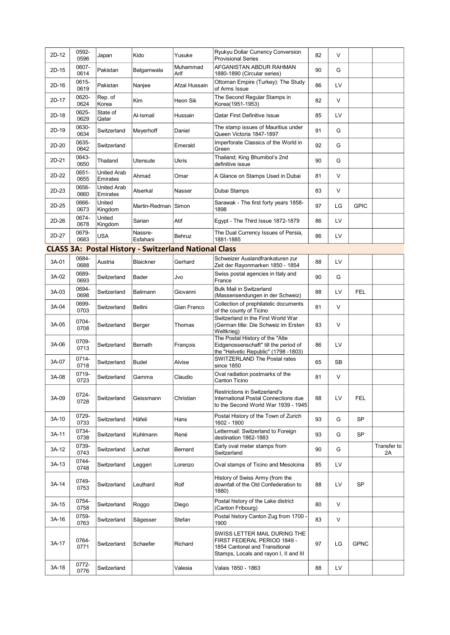| 2D-12 | 0592-<br>0596 | Japan                          | Kido                                                         | Yusuke           | Ryukyu Dollar Currency Conversion<br><b>Provisional Series</b>                                                                          | 82 | $\vee$ |             |                   |
|-------|---------------|--------------------------------|--------------------------------------------------------------|------------------|-----------------------------------------------------------------------------------------------------------------------------------------|----|--------|-------------|-------------------|
| 2D-15 | 0607-<br>0614 | Pakistan                       | Balgamwala                                                   | Muhammad<br>Arif | AFGANISTAN ABDUR RAHMAN<br>1880-1890 (Circular series)                                                                                  | 90 | G      |             |                   |
| 2D-16 | 0615-<br>0619 | Pakistan                       | Nanjee                                                       | Afzal Hussain    | Ottoman Empire (Turkey): The Study<br>of Arms Issue                                                                                     | 86 | LV     |             |                   |
| 2D-17 | 0620-<br>0624 | Rep. of<br>Korea               | Kim                                                          | Heon Sik         | The Second Regular Stamps in<br>Korea(1951-1953)                                                                                        | 82 | V      |             |                   |
| 2D-18 | 0625-<br>0629 | State of<br>Qatar              | Al-Ismail                                                    | Hussain          | <b>Qatar First Definitive Issue</b>                                                                                                     | 85 | LV     |             |                   |
| 2D-19 | 0630-<br>0634 | Switzerland                    | Meyerhoff                                                    | Daniel           | The stamp issues of Mauritius under<br>Queen Victoria 1847-1897                                                                         | 91 | G      |             |                   |
| 2D-20 | 0635-<br>0642 | Switzerland                    |                                                              | Emerald          | Imperforate Classics of the World in<br>Green                                                                                           | 92 | G      |             |                   |
| 2D-21 | 0643-<br>0650 | Thailand                       | Utensute                                                     | <b>Ukris</b>     | Thailand; King Bhumibol's 2nd<br>definitive issue                                                                                       | 90 | G      |             |                   |
| 2D-22 | 0651-<br>0655 | <b>United Arab</b><br>Emirates | Ahmad                                                        | Omar             | A Glance on Stamps Used in Dubai                                                                                                        | 81 | $\vee$ |             |                   |
| 2D-23 | 0656-<br>0660 | United Arab<br>Emirates        | Alserkal                                                     | Nasser           | Dubai Stamps                                                                                                                            | 83 | V      |             |                   |
| 2D-25 | 0666-<br>0673 | United<br>Kingdom              | Martin-Redman Simon                                          |                  | Sarawak - The first forty years 1858-<br>1898                                                                                           | 97 | LG     | <b>GPIC</b> |                   |
| 2D-26 | 0674-<br>0678 | United<br>Kingdom              | Sarian                                                       | Atif             | Egypt - The Third Issue 1872-1879                                                                                                       | 86 | LV     |             |                   |
| 2D-27 | 0679-<br>0683 | <b>USA</b>                     | Nassre-<br>Esfahani                                          | <b>Behruz</b>    | The Dual Currency Issues of Persia,<br>1881-1885                                                                                        | 86 | LV     |             |                   |
|       |               |                                | <b>CLASS 3A: Postal History - Switzerland National Class</b> |                  |                                                                                                                                         |    |        |             |                   |
|       | 0684-         |                                |                                                              |                  | Schweizer Auslandfrankaturen zur                                                                                                        |    |        |             |                   |
| 3A-01 | 0688<br>0689- | Austria                        | <b>Blaickner</b>                                             | Gerhard          | Zeit der Rayonmarken 1850 - 1854                                                                                                        | 88 | LV     |             |                   |
| 3A-02 | 0693          | Switzerland                    | Bader                                                        | Jvo              | Swiss postal agencies in Italy and<br>France                                                                                            | 90 | G      |             |                   |
| 3A-03 | 0694-<br>0698 | Switzerland                    | Balimann                                                     | Giovanni         | <b>Bulk Mail in Switzerland</b><br>(Massensendungen in der Schweiz)                                                                     | 88 | LV     | <b>FEL</b>  |                   |
| 3A-04 | 0699-<br>0703 | Switzerland                    | Bellini                                                      | Gian Franco      | Collection of prephilatelic documents<br>of the county of Ticino                                                                        | 81 | $\vee$ |             |                   |
| 3A-05 | 0704-<br>0708 | Switzerland                    | Berger                                                       | Thomas           | Switzerland in the First World War<br>(German title: Die Schweiz im Ersten<br>Weltkrieg)                                                | 83 | V      |             |                   |
| 3A-06 | 0709-<br>0713 | Switzerland                    | Bernath                                                      | François         | The Postal History of the "Alte<br>Eidgenossenschaft" till the period of<br>the "Helvetic Republic" (1798 -1803)                        | 86 | LV     |             |                   |
| 3A-07 | 0714-<br>0718 | Switzerland                    | <b>Budel</b>                                                 | Alvise           | SWITZERLAND The Postal rates<br>since 1850                                                                                              | 65 | SB     |             |                   |
| 3A-08 | 0719-<br>0723 | Switzerland                    | Gamma                                                        | Claudio          | Oval radiation postmarks of the<br>Canton Ticino                                                                                        | 81 | V      |             |                   |
| 3A-09 | 0724-<br>0728 | Switzerland                    | Geissmann                                                    | Christian        | <b>Restrictions in Switzerland's</b><br>International Postal Connections due<br>to the Second World War 1939 - 1945                     | 88 | LV     | <b>FEL</b>  |                   |
| 3A-10 | 0729-<br>0733 | Switzerland                    | Häfeli                                                       | Hans             | Postal History of the Town of Zurich<br>1602 - 1900                                                                                     | 93 | G      | <b>SP</b>   |                   |
| 3A-11 | 0734-<br>0738 | Switzerland                    | Kuhlmann                                                     | René             | Lettermail: Switzerland to Foreign<br>destination 1862-1883                                                                             | 93 | G      | <b>SP</b>   |                   |
| 3A-12 | 0739-<br>0743 | Switzerland                    | Lachat                                                       | Bernard          | Early oval meter stamps from<br>Switzerland                                                                                             | 90 | G      |             | Transfer to<br>2A |
| 3A-13 | 0744-<br>0748 | Switzerland                    | Leggeri                                                      | Lorenzo          | Oval stamps of Ticino and Mesolcina                                                                                                     | 85 | LV     |             |                   |
| 3A-14 | 0749-<br>0753 | Switzerland                    | Leuthard                                                     | Rolf             | History of Swiss Army (from the<br>downfall of the Old Confederation to<br>1880)                                                        | 88 | LV     | <b>SP</b>   |                   |
| 3A-15 | 0754-<br>0758 | Switzerland                    | Roggo                                                        | Diego            | Postal history of the Lake district<br>(Canton Fribourg)                                                                                | 80 | V      |             |                   |
| 3A-16 | 0759-<br>0763 | Switzerland                    | Sägesser                                                     | Stefan           | Postal history Canton Zug from 1700 -<br>1900                                                                                           | 83 | V      |             |                   |
| 3A-17 | 0764-<br>0771 | Switzerland                    | Schaefer                                                     | Richard          | SWISS LETTER MAIL DURING THE<br>FIRST FEDERAL PERIOD 1849 -<br>1854 Cantonal and Transitional<br>Stamps, Locals and rayon I, II and III | 97 | LG     | <b>GPNC</b> |                   |
| 3A-18 | 0772-<br>0776 | Switzerland                    |                                                              | Valesia          | Valais 1850 - 1863                                                                                                                      | 88 | LV     |             |                   |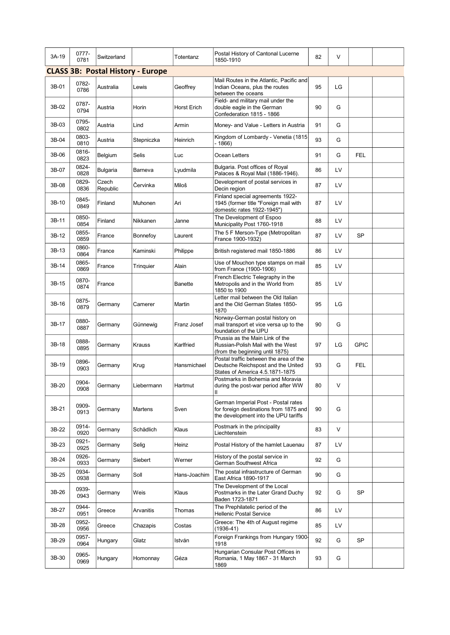| 3A-19 | 0777-<br>0781 | Switzerland       |                                          | Totentanz      | Postal History of Cantonal Lucerne<br>1850-1910                                                                       | 82 | V      |             |  |
|-------|---------------|-------------------|------------------------------------------|----------------|-----------------------------------------------------------------------------------------------------------------------|----|--------|-------------|--|
|       |               |                   | <b>CLASS 3B: Postal History - Europe</b> |                |                                                                                                                       |    |        |             |  |
| 3B-01 | 0782-<br>0786 | Australia         | Lewis                                    | Geoffrey       | Mail Routes in the Atlantic, Pacific and<br>Indian Oceans, plus the routes<br>between the oceans                      | 95 | LG     |             |  |
| 3B-02 | 0787-<br>0794 | Austria           | Horin                                    | Horst Erich    | Field- and military mail under the<br>double eagle in the German<br>Confederation 1815 - 1866                         | 90 | G      |             |  |
| 3B-03 | 0795-<br>0802 | Austria           | Lind                                     | Armin          | Money- and Value - Letters in Austria                                                                                 | 91 | G      |             |  |
| 3B-04 | 0803-<br>0810 | Austria           | Stepniczka                               | Heinrich       | Kingdom of Lombardy - Venetia (1815<br>- 1866)                                                                        | 93 | G      |             |  |
| 3B-06 | 0816-<br>0823 | Belgium           | <b>Selis</b>                             | Luc            | Ocean Letters                                                                                                         | 91 | G      | <b>FEL</b>  |  |
| 3B-07 | 0824-<br>0828 | Bulgaria          | Barneva                                  | Lyudmila       | Bulgaria. Post offices of Royal<br>Palaces & Royal Mail (1886-1946).                                                  | 86 | LV     |             |  |
| 3B-08 | 0829-<br>0836 | Czech<br>Republic | Červinka                                 | Miloš          | Development of postal services in<br>Decin region                                                                     | 87 | LV     |             |  |
| 3B-10 | 0845-<br>0849 | Finland           | Muhonen                                  | Ari            | Finland special agreements 1922-<br>1945 (former title "Foreign mail with<br>domestic rates 1922-1945")               | 87 | LV     |             |  |
| 3B-11 | 0850-<br>0854 | Finland           | Nikkanen                                 | Janne          | The Development of Espoo<br>Municipality Post 1760-1918                                                               | 88 | LV     |             |  |
| 3B-12 | 0855-<br>0859 | France            | Bonnefoy                                 | Laurent        | The 5 F Merson-Type (Metropolitan<br>France 1900-1932)                                                                | 87 | LV     | <b>SP</b>   |  |
| 3B-13 | 0860-<br>0864 | France            | Kaminski                                 | Philippe       | British registered mail 1850-1886                                                                                     | 86 | LV     |             |  |
| 3B-14 | 0865-<br>0869 | France            | Trinquier                                | Alain          | Use of Mouchon type stamps on mail<br>from France (1900-1906)                                                         | 85 | LV     |             |  |
| 3B-15 | 0870-<br>0874 | France            |                                          | <b>Banette</b> | French Electric Telegraphy in the<br>Metropolis and in the World from<br>1850 to 1900                                 | 85 | LV     |             |  |
| 3B-16 | 0875-<br>0879 | Germany           | Camerer                                  | Martin         | Letter mail between the Old Italian<br>and the Old German States 1850-<br>1870                                        | 95 | LG     |             |  |
| 3B-17 | 0880-<br>0887 | Germany           | Günnewig                                 | Franz Josef    | Norway-German postal history on<br>mail transport et vice versa up to the<br>foundation of the UPU                    | 90 | G      |             |  |
| 3B-18 | 0888-<br>0895 | Germany           | Krauss                                   | Karlfried      | Prussia as the Main Link of the<br>Russian-Polish Mail with the West<br>(from the beginning until 1875)               | 97 | LG     | <b>GPIC</b> |  |
| 3B-19 | 0896-<br>0903 | Germany           | Krug                                     | Hansmichael    | Postal traffic between the area of the<br>Deutsche Reichspost and the United<br>States of America 4.5.1871-1875       | 93 | G      | <b>FEL</b>  |  |
| 3B-20 | 0904-<br>0908 | Germany           | Liebermann                               | Hartmut        | Postmarks in Bohemia and Moravia<br>during the post-war period after WW<br>Ш                                          | 80 | $\vee$ |             |  |
| 3B-21 | 0909-<br>0913 | Germany           | Martens                                  | Sven           | German Imperial Post - Postal rates<br>for foreign destinations from 1875 and<br>the development into the UPU tariffs | 90 | G      |             |  |
| 3B-22 | 0914-<br>0920 | Germany           | Schädlich                                | Klaus          | Postmark in the principality<br>Liechtenstein                                                                         | 83 | V      |             |  |
| 3B-23 | 0921-<br>0925 | Germany           | Selig                                    | Heinz          | Postal History of the hamlet Lauenau                                                                                  | 87 | LV     |             |  |
| 3B-24 | 0926-<br>0933 | Germany           | Siebert                                  | Werner         | History of the postal service in<br>German Southwest Africa                                                           | 92 | G      |             |  |
| 3B-25 | 0934-<br>0938 | Germany           | Soll                                     | Hans-Joachim   | The postal infrastructure of German<br>East Africa 1890-1917                                                          | 90 | G      |             |  |
| 3B-26 | 0939-<br>0943 | Germany           | Weis                                     | Klaus          | The Development of the Local<br>Postmarks in the Later Grand Duchy<br>Baden 1723-1871                                 | 92 | G      | <b>SP</b>   |  |
| 3B-27 | 0944-<br>0951 | Greece            | Arvanitis                                | Thomas         | The Prephilatelic period of the<br><b>Hellenic Postal Service</b>                                                     | 86 | LV     |             |  |
| 3B-28 | 0952-<br>0956 | Greece            | Chazapis                                 | Costas         | Greece: The 4th of August regime<br>$(1936 - 41)$                                                                     | 85 | LV     |             |  |
| 3B-29 | 0957-<br>0964 | Hungary           | Glatz                                    | István         | Foreign Frankings from Hungary 1900-<br>1918                                                                          | 92 | G      | SP          |  |
| 3B-30 | 0965-<br>0969 | Hungary           | Homonnay                                 | Géza           | Hungarian Consular Post Offices in<br>Romania, 1 May 1867 - 31 March<br>1869                                          | 93 | G      |             |  |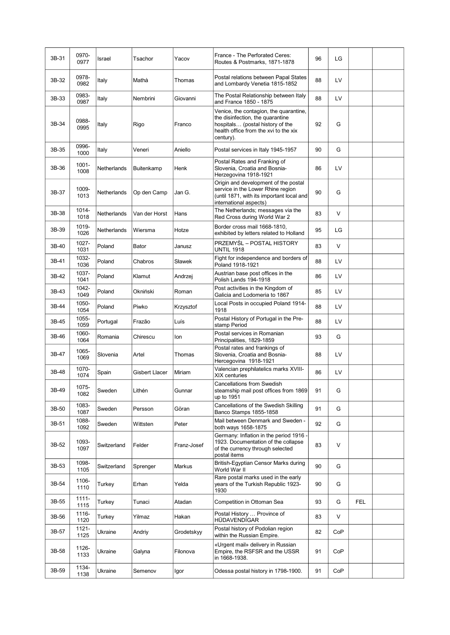| 3B-31 | 0970-<br>0977    | Israel      | Tsachor        | Yacov       | France - The Perforated Ceres:<br>Routes & Postmarks, 1871-1878                                                                                                      | 96 | LG     |            |  |
|-------|------------------|-------------|----------------|-------------|----------------------------------------------------------------------------------------------------------------------------------------------------------------------|----|--------|------------|--|
| 3B-32 | 0978-<br>0982    | Italy       | Mathà          | Thomas      | Postal relations between Papal States<br>and Lombardy Venetia 1815-1852                                                                                              | 88 | LV     |            |  |
| 3B-33 | 0983-<br>0987    | Italy       | Nembrini       | Giovanni    | The Postal Relationship between Italy<br>and France 1850 - 1875                                                                                                      | 88 | LV     |            |  |
| 3B-34 | 0988-<br>0995    | Italy       | Rigo           | Franco      | Venice, the contagion, the quarantine,<br>the disinfection, the quarantine<br>hospitals (postal history of the<br>health office from the xvi to the xix<br>century). | 92 | G      |            |  |
| 3B-35 | 0996-<br>1000    | Italy       | Veneri         | Aniello     | Postal services in Italy 1945-1957                                                                                                                                   | 90 | G      |            |  |
| 3B-36 | $1001 -$<br>1008 | Netherlands | Buitenkamp     | Henk        | Postal Rates and Franking of<br>Slovenia, Croatia and Bosnia-<br>Herzegovina 1918-1921                                                                               | 86 | LV     |            |  |
| 3B-37 | 1009-<br>1013    | Netherlands | Op den Camp    | Jan G.      | Origin and development of the postal<br>service in the Lower Rhine region<br>(until 1871, with its important local and<br>international aspects)                     | 90 | G      |            |  |
| 3B-38 | 1014-<br>1018    | Netherlands | Van der Horst  | Hans        | The Netherlands; messages via the<br>Red Cross during World War 2                                                                                                    | 83 | $\vee$ |            |  |
| 3B-39 | 1019-<br>1026    | Netherlands | Wiersma        | Hotze       | Border cross mail 1668-1810,<br>exhibited by letters related to Holland                                                                                              | 95 | LG     |            |  |
| 3B-40 | 1027-<br>1031    | Poland      | Bator          | Janusz      | PRZEMYŚL – POSTAL HISTORY<br><b>UNTIL 1918</b>                                                                                                                       | 83 | V      |            |  |
| 3B-41 | 1032-<br>1036    | Poland      | Chabros        | Sławek      | Fight for independence and borders of<br>Poland 1918-1921                                                                                                            | 88 | LV     |            |  |
| 3B-42 | 1037-<br>1041    | Poland      | Klamut         | Andrzej     | Austrian base post offices in the<br>Polish Lands 194-1918                                                                                                           | 86 | LV     |            |  |
| 3B-43 | 1042-<br>1049    | Poland      | Okniński       | Roman       | Post activities in the Kingdom of<br>Galicia and Lodomeria to 1867                                                                                                   | 85 | LV     |            |  |
| 3B-44 | 1050-<br>1054    | Poland      | Piwko          | Krzysztof   | Local Posts in occupied Poland 1914-<br>1918                                                                                                                         | 88 | LV     |            |  |
| 3B-45 | 1055-<br>1059    | Portugal    | Frazão         | Luís        | Postal History of Portugal in the Pre-<br>stamp Period                                                                                                               | 88 | LV     |            |  |
| 3B-46 | 1060-<br>1064    | Romania     | Chirescu       | lon         | Postal services in Romanian<br>Principalities, 1829-1859                                                                                                             | 93 | G      |            |  |
| 3B-47 | 1065-<br>1069    | Slovenia    | Artel          | Thomas      | Postal rates and frankings of<br>Slovenia, Croatia and Bosnia-<br>Hercegovina 1918-1921                                                                              | 88 | LV     |            |  |
| 3B-48 | 1070-<br>1074    | Spain       | Gisbert Llacer | Miriam      | Valencian prephilatelics marks XVIII-<br><b>XIX</b> centuries                                                                                                        | 86 | LV     |            |  |
| 3B-49 | 1075-<br>1082    | Sweden      | Lithén         | Gunnar      | Cancellations from Swedish<br>steamship mail post offices from 1869<br>up to 1951                                                                                    | 91 | G      |            |  |
| 3B-50 | 1083-<br>1087    | Sweden      | Persson        | Göran       | Cancellations of the Swedish Skilling<br>Banco Stamps 1855-1858                                                                                                      | 91 | G      |            |  |
| 3B-51 | 1088-<br>1092    | Sweden      | Wittsten       | Peter       | Mail between Denmark and Sweden -<br>both ways 1658-1875                                                                                                             | 92 | G      |            |  |
| 3B-52 | 1093-<br>1097    | Switzerland | Felder         | Franz-Josef | Germany: Inflation in the period 1916 -<br>1923. Documentation of the collapse<br>of the currency through selected<br>postal items                                   | 83 | V      |            |  |
| 3B-53 | 1098-<br>1105    | Switzerland | Sprenger       | Markus      | British-Egyptian Censor Marks during<br>World War II                                                                                                                 | 90 | G      |            |  |
| 3B-54 | 1106-<br>1110    | Turkey      | Erhan          | Yelda       | Rare postal marks used in the early<br>years of the Turkish Republic 1923-<br>1930                                                                                   | 90 | G      |            |  |
| 3B-55 | 1111-<br>1115    | Turkey      | Tunaci         | Atadan      | Competition in Ottoman Sea                                                                                                                                           | 93 | G      | <b>FEL</b> |  |
| 3B-56 | 1116-<br>1120    | Turkey      | Yilmaz         | Hakan       | Postal History  Province of<br><b>HÜDAVENDİGAR</b>                                                                                                                   | 83 | V      |            |  |
| 3B-57 | 1121-<br>1125    | Ukraine     | Andriy         | Grodetskyy  | Postal history of Podolian region<br>within the Russian Empire.                                                                                                      | 82 | CoP    |            |  |
| 3B-58 | 1126-<br>1133    | Ukraine     | Galyna         | Filonova    | «Urgent mail» delivery in Russian<br>Empire, the RSFSR and the USSR<br>in 1668-1938.                                                                                 | 91 | CoP    |            |  |
| 3B-59 | 1134-<br>1138    | Ukraine     | Semenov        | Igor        | Odessa postal history in 1798-1900.                                                                                                                                  | 91 | CoP    |            |  |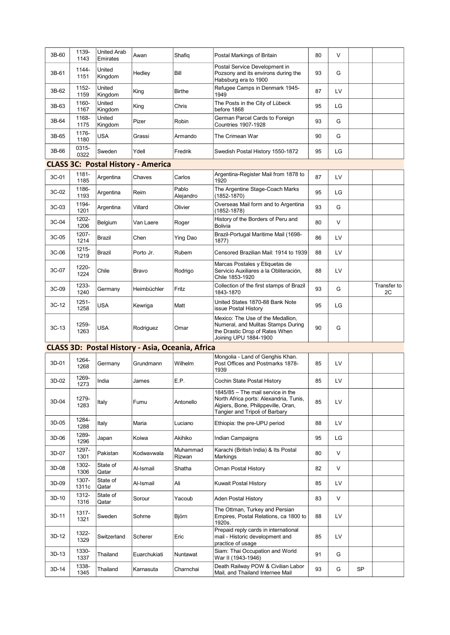| 3B-60   | 1139-<br>1143  | <b>United Arab</b><br>Emirates | Awan                                             | Shafiq             | Postal Markings of Britain                                                                                                                           | 80 | V  |           |                   |
|---------|----------------|--------------------------------|--------------------------------------------------|--------------------|------------------------------------------------------------------------------------------------------------------------------------------------------|----|----|-----------|-------------------|
| 3B-61   | 1144-<br>1151  | United<br>Kingdom              | Hedley                                           | Bill               | Postal Service Development in<br>Pozsony and its environs during the<br>Habsburg era to 1900                                                         | 93 | G  |           |                   |
| 3B-62   | 1152-<br>1159  | United<br>Kingdom              | King                                             | <b>Birthe</b>      | Refugee Camps in Denmark 1945-<br>1949                                                                                                               | 87 | LV |           |                   |
| 3B-63   | 1160-<br>1167  | United<br>Kingdom              | King                                             | Chris              | The Posts in the City of Lübeck<br>before 1868                                                                                                       | 95 | LG |           |                   |
| 3B-64   | 1168-<br>1175  | United<br>Kingdom              | Pizer                                            | Robin              | German Parcel Cards to Foreign<br><b>Countries 1907-1928</b>                                                                                         | 93 | G  |           |                   |
| 3B-65   | 1176-<br>1180  | USA                            | Grassi                                           | Armando            | The Crimean War                                                                                                                                      | 90 | G  |           |                   |
| 3B-66   | 0315-<br>0322  | Sweden                         | Ydell                                            | Fredrik            | Swedish Postal History 1550-1872                                                                                                                     | 95 | LG |           |                   |
|         |                |                                | <b>CLASS 3C: Postal History - America</b>        |                    |                                                                                                                                                      |    |    |           |                   |
| 3C-01   | 1181-<br>1185  | Argentina                      | Chaves                                           | Carlos             | Argentina-Register Mail from 1878 to<br>1920                                                                                                         | 87 | LV |           |                   |
| 3C-02   | 1186-<br>1193  | Argentina                      | Reim                                             | Pablo<br>Alejandro | The Argentine Stage-Coach Marks<br>(1852-1870)                                                                                                       | 95 | LG |           |                   |
| 3C-03   | 1194-<br>1201  | Argentina                      | Villard                                          | Olivier            | Overseas Mail form and to Argentina<br>(1852-1878)                                                                                                   | 93 | G  |           |                   |
| 3C-04   | 1202-<br>1206  | Belgium                        | Van Laere                                        | Roger              | History of the Borders of Peru and<br><b>Bolivia</b>                                                                                                 | 80 | V  |           |                   |
| 3C-05   | 1207-<br>1214  | Brazil                         | Chen                                             | Ying Dao           | Brazil-Portugal Maritime Mail (1698-<br>1877)                                                                                                        | 86 | LV |           |                   |
| 3C-06   | 1215-<br>1219  | Brazil                         | Porto Jr.                                        | Rubem              | Censored Brazilian Mail: 1914 to 1939                                                                                                                | 88 | LV |           |                   |
| 3C-07   | 1220-<br>1224  | Chile                          | Bravo                                            | Rodrigo            | Marcas Postales y Etiquetas de<br>Servicio Auxiliares a la Obliteración,<br>Chile 1853-1920                                                          | 88 | LV |           |                   |
| 3C-09   | 1233-<br>1240  | Germany                        | Heimbüchler                                      | Fritz              | Collection of the first stamps of Brazil<br>1843-1870                                                                                                | 93 | G  |           | Transfer to<br>2C |
| 3C-12   | 1251-<br>1258  | <b>USA</b>                     | Kewriga                                          | Matt               | United States 1870-88 Bank Note<br>issue Postal History                                                                                              | 95 | LG |           |                   |
| $3C-13$ | 1259-<br>1263  | USA                            | Rodriguez                                        | Omar               | Mexico: The Use of the Medallion,<br>Numeral, and Mulitas Stamps During<br>the Drastic Drop of Rates When<br>Joining UPU 1884-1900                   | 90 | G  |           |                   |
|         |                |                                | CLASS 3D: Postal History - Asia, Oceania, Africa |                    |                                                                                                                                                      |    |    |           |                   |
| 3D-01   | 1264-<br>1268  | Germany                        | Grundmann                                        | Wilhelm            | Mongolia - Land of Genghis Khan.<br>Post Offices and Postmarks 1878-<br>1939                                                                         | 85 | LV |           |                   |
| 3D-02   | 1269-<br>1273  | India                          | James                                            | E.P.               | Cochin State Postal History                                                                                                                          | 85 | LV |           |                   |
| 3D-04   | 1279-<br>1283  | Italy                          | Fumu                                             | Antonello          | 1845/85 - The mail service in the<br>North Africa ports: Alexandria, Tunis,<br>Algiers, Bone, Philippeville, Oran,<br>Tangier and Tripoli of Barbary | 85 | LV |           |                   |
| 3D-05   | 1284-<br>1288  | Italy                          | Maria                                            | Luciano            | Ethiopia: the pre-UPU period                                                                                                                         | 88 | LV |           |                   |
| 3D-06   | 1289-<br>1296  | Japan                          | Koiwa                                            | Akihiko            | Indian Campaigns                                                                                                                                     | 95 | LG |           |                   |
| 3D-07   | 1297-<br>1301  | Pakistan                       | Kodwavwala                                       | Muhammad<br>Rizwan | Karachi (British India) & Its Postal<br>Markings                                                                                                     | 80 | V  |           |                   |
| 3D-08   | 1302-<br>1306  | State of<br>Qatar              | Al-Ismail                                        | Shatha             | Oman Postal History                                                                                                                                  | 82 | V  |           |                   |
| 3D-09   | 1307-<br>1311c | State of<br>Qatar              | Al-Ismail                                        | Ali                | Kuwait Postal History                                                                                                                                | 85 | LV |           |                   |
| 3D-10   | 1312-<br>1316  | State of<br>Qatar              | Sorour                                           | Yacoub             | Aden Postal History                                                                                                                                  | 83 | V  |           |                   |
| 3D-11   | 1317-<br>1321  | Sweden                         | Sohrne                                           | Björn              | The Ottman. Turkey and Persian<br>Empires, Postal Relations, ca 1800 to<br>1920s.                                                                    | 88 | LV |           |                   |
| 3D-12   | 1322-<br>1329  | Switzerland                    | Scherer                                          | Eric               | Prepaid reply cards in international<br>mail - Historic development and<br>practice of usage                                                         | 85 | LV |           |                   |
| 3D-13   | 1330-<br>1337  | Thailand                       | Euarchukiati                                     | Nuntawat           | Siam: Thai Occupation and World<br>War II (1943-1946)                                                                                                | 91 | G  |           |                   |
| 3D-14   | 1338-<br>1345  | Thailand                       | Karnasuta                                        | Charnchai          | Death Railway POW & Civilian Labor<br>Mail, and Thailand Internee Mail                                                                               | 93 | G  | <b>SP</b> |                   |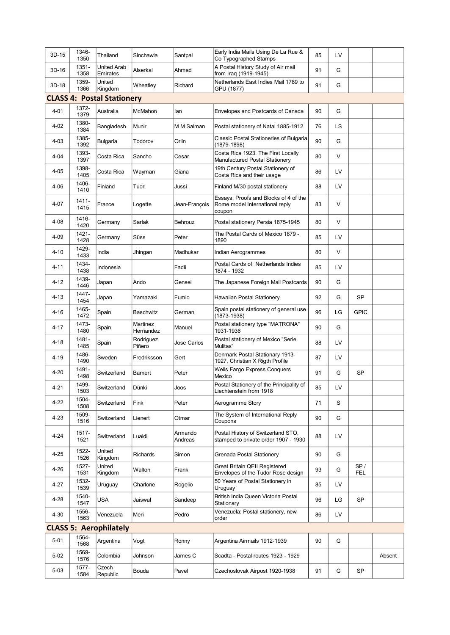| 3D-15    | 1346-<br>1350 | Thailand                          | Sinchawla             | Santpal            | Early India Mails Using De La Rue &<br>Co Typographed Stamps                      | 85 | LV        |                   |        |
|----------|---------------|-----------------------------------|-----------------------|--------------------|-----------------------------------------------------------------------------------|----|-----------|-------------------|--------|
| 3D-16    | 1351-<br>1358 | <b>United Arab</b><br>Emirates    | Alserkal              | Ahmad              | A Postal History Study of Air mail<br>from Iraq (1919-1945)                       | 91 | G         |                   |        |
| $3D-18$  | 1359-<br>1366 | United<br>Kingdom                 | Wheatley              | Richard            | Netherlands East Indies Mail 1789 to<br>GPU (1877)                                | 91 | G         |                   |        |
|          |               | <b>CLASS 4: Postal Stationery</b> |                       |                    |                                                                                   |    |           |                   |        |
| $4 - 01$ | 1372-<br>1379 | Australia                         | McMahon               | lan                | Envelopes and Postcards of Canada                                                 | 90 | G         |                   |        |
| $4 - 02$ | 1380-<br>1384 | Bangladesh                        | Munir                 | M M Salman         | Postal stationery of Natal 1885-1912                                              | 76 | <b>LS</b> |                   |        |
| $4 - 03$ | 1385-<br>1392 | Bulgaria                          | Todorov               | Orlin              | Classic Postal Stationeries of Bulgaria<br>(1879-1898)                            | 90 | G         |                   |        |
| $4 - 04$ | 1393-<br>1397 | Costa Rica                        | Sancho                | Cesar              | Costa Rica 1923. The First Locally<br>Manufactured Postal Stationery              | 80 | V         |                   |        |
| $4 - 05$ | 1398-<br>1405 | Costa Rica                        | Wayman                | Giana              | 19th Century Postal Stationery of<br>Costa Rica and their usage                   | 86 | LV        |                   |        |
| $4 - 06$ | 1406-<br>1410 | Finland                           | Tuori                 | Jussi              | Finland M/30 postal stationery                                                    | 88 | LV        |                   |        |
| 4-07     | 1411-<br>1415 | France                            | Logette               | Jean-François      | Essays, Proofs and Blocks of 4 of the<br>Rome model International reply<br>coupon | 83 | V         |                   |        |
| $4 - 08$ | 1416-<br>1420 | Germany                           | Sarlak                | Behrouz            | Postal stationery Persia 1875-1945                                                | 80 | $\vee$    |                   |        |
| 4-09     | 1421-<br>1428 | Germany                           | Süss                  | Peter              | The Postal Cards of Mexico 1879 -<br>1890                                         | 85 | LV        |                   |        |
| $4 - 10$ | 1429-<br>1433 | India                             | Jhingan               | Madhukar           | Indian Aerogrammes                                                                | 80 | V         |                   |        |
| $4 - 11$ | 1434-<br>1438 | Indonesia                         |                       | Fadli              | Postal Cards of Netherlands Indies<br>1874 - 1932                                 | 85 | LV        |                   |        |
| 4-12     | 1439-<br>1446 | Japan                             | Ando                  | Gensei             | The Japanese Foreign Mail Postcards                                               | 90 | G         |                   |        |
| $4 - 13$ | 1447-<br>1454 | Japan                             | Yamazaki              | Fumio              | Hawaiian Postal Stationery                                                        | 92 | G         | <b>SP</b>         |        |
| 4-16     | 1465-<br>1472 | Spain                             | Baschwitz             | German             | Spain postal stationery of general use<br>(1873-1938)                             | 96 | LG        | <b>GPIC</b>       |        |
| 4-17     | 1473-<br>1480 | Spain                             | Martinez<br>Herñandez | Manuel             | Postal stationery type "MATRONA"<br>1931-1936                                     | 90 | G         |                   |        |
| 4-18     | 1481-<br>1485 | Spain                             | Rodriguez<br>Piñero   | Jose Carlos        | Postal stationery of Mexico "Serie<br>Mulitas"                                    | 88 | LV        |                   |        |
| $4 - 19$ | 1486-<br>1490 | Sweden                            | Fredriksson           | Gert               | Denmark Postal Stationary 1913-<br>1927, Christian X Rigth Profile                | 87 | LV        |                   |        |
| $4 - 20$ | 1491-<br>1498 | Switzerland                       | Bamert                | Peter              | Wells Fargo Express Conquers<br>Mexico                                            | 91 | G         | SP                |        |
| 4-21     | 1499-<br>1503 | Switzerland                       | Dünki                 | Joos               | Postal Stationery of the Principality of<br>Liechtenstein from 1918               | 85 | LV        |                   |        |
| $4 - 22$ | 1504-<br>1508 | Switzerland                       | Fink                  | Peter              | Aerogramme Story                                                                  | 71 | S         |                   |        |
| $4 - 23$ | 1509-<br>1516 | Switzerland                       | Lienert               | Otmar              | The System of International Reply<br>Coupons                                      | 90 | G         |                   |        |
| $4 - 24$ | 1517-<br>1521 | Switzerland                       | Lualdi                | Armando<br>Andreas | Postal History of Switzerland STO,<br>stamped to private order 1907 - 1930        | 88 | LV        |                   |        |
| $4 - 25$ | 1522-<br>1526 | United<br>Kingdom                 | Richards              | Simon              | Grenada Postal Stationery                                                         | 90 | G         |                   |        |
| 4-26     | 1527-<br>1531 | United<br>Kingdom                 | Walton                | Frank              | Great Britain QEII Registered<br>Envelopes of the Tudor Rose design               | 93 | G         | SP/<br><b>FEL</b> |        |
| 4-27     | 1532-<br>1539 | Uruguay                           | Charlone              | Rogelio            | 50 Years of Postal Stationery in<br>Uruguay                                       | 85 | LV        |                   |        |
| 4-28     | 1540-<br>1547 | USA                               | Jaiswal               | Sandeep            | British India Queen Victoria Postal<br>Stationary                                 | 96 | LG        | SP                |        |
| $4 - 30$ | 1556-<br>1563 | Venezuela                         | Meri                  | Pedro              | Venezuela: Postal stationery, new<br>order                                        | 86 | LV        |                   |        |
|          |               | <b>CLASS 5: Aerophilately</b>     |                       |                    |                                                                                   |    |           |                   |        |
| $5 - 01$ | 1564-<br>1568 | Argentina                         | Vogt                  | Ronny              | Argentina Airmails 1912-1939                                                      | 90 | G         |                   |        |
| $5 - 02$ | 1569-<br>1576 | Colombia                          | Johnson               | James C            | Scadta - Postal routes 1923 - 1929                                                |    |           |                   | Absent |
| $5 - 03$ | 1577-<br>1584 | Czech<br>Republic                 | Bouda                 | Pavel              | Czechoslovak Airpost 1920-1938                                                    | 91 | G         | SP                |        |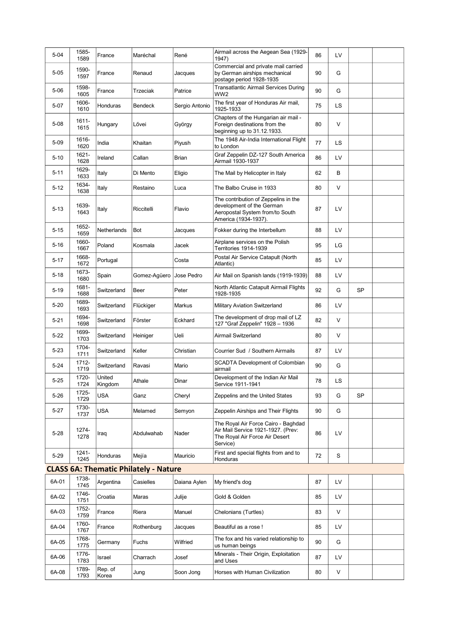| $5 - 04$ | 1585-<br>1589    | France            | Maréchal                                     | René           | Airmail across the Aegean Sea (1929-<br>1947)                                                                                | 86 | LV |           |  |
|----------|------------------|-------------------|----------------------------------------------|----------------|------------------------------------------------------------------------------------------------------------------------------|----|----|-----------|--|
| $5 - 05$ | 1590-<br>1597    | France            | Renaud                                       | Jacques        | Commercial and private mail carried<br>by German airships mechanical<br>postage period 1928-1935                             | 90 | G  |           |  |
| $5 - 06$ | 1598-<br>1605    | France            | Trzeciak                                     | Patrice        | Transatlantic Airmail Services During<br>WW2                                                                                 | 90 | G  |           |  |
| 5-07     | 1606-<br>1610    | Honduras          | Bendeck                                      | Sergio Antonio | The first year of Honduras Air mail,<br>1925-1933                                                                            | 75 | LS |           |  |
| $5 - 08$ | 1611-<br>1615    | Hungary           | Lővei                                        | György         | Chapters of the Hungarian air mail -<br>Foreign destinations from the<br>beginning up to 31.12.1933.                         | 80 | V  |           |  |
| $5 - 09$ | 1616-<br>1620    | India             | Khaitan                                      | Piyush         | The 1948 Air-India International Flight<br>to London                                                                         | 77 | LS |           |  |
| $5 - 10$ | 1621-<br>1628    | Ireland           | Callan                                       | Brian          | Graf Zeppelin DZ-127 South America<br>Airmail 1930-1937                                                                      | 86 | LV |           |  |
| $5 - 11$ | 1629-<br>1633    | Italy             | Di Mento                                     | Eligio         | The Mail by Helicopter in Italy                                                                                              | 62 | В  |           |  |
| $5 - 12$ | 1634-<br>1638    | Italy             | Restaino                                     | Luca           | The Balbo Cruise in 1933                                                                                                     | 80 | V  |           |  |
| $5 - 13$ | 1639-<br>1643    | Italy             | Riccitelli                                   | Flavio         | The contribution of Zeppelins in the<br>development of the German<br>Aeropostal System from/to South<br>America (1934-1937). | 87 | LV |           |  |
| $5 - 15$ | 1652-<br>1659    | Netherlands       | Bot                                          | Jacques        | Fokker during the Interbellum                                                                                                | 88 | LV |           |  |
| $5 - 16$ | 1660-<br>1667    | Poland            | Kosmala                                      | Jacek          | Airplane services on the Polish<br>Territories 1914-1939                                                                     | 95 | LG |           |  |
| $5 - 17$ | 1668-<br>1672    | Portugal          |                                              | Costa          | Postal Air Service Catapult (North<br>Atlantic)                                                                              | 85 | LV |           |  |
| $5 - 18$ | 1673-<br>1680    | Spain             | Gomez-Aqüero                                 | Jose Pedro     | Air Mail on Spanish lands (1919-1939)                                                                                        | 88 | LV |           |  |
| $5 - 19$ | 1681-<br>1688    | Switzerland       | Beer                                         | Peter          | North Atlantic Catapult Airmail Flights<br>1928-1935                                                                         | 92 | G  | <b>SP</b> |  |
| $5 - 20$ | 1689-<br>1693    | Switzerland       | Flückiger                                    | Markus         | Military Aviation Switzerland                                                                                                | 86 | LV |           |  |
| $5 - 21$ | 1694-<br>1698    | Switzerland       | Förster                                      | Eckhard        | The development of drop mail of LZ<br>127 "Graf Zeppelin" 1928 - 1936                                                        | 82 | V  |           |  |
| $5 - 22$ | 1699-<br>1703    | Switzerland       | Heiniger                                     | Ueli           | Airmail Switzerland                                                                                                          | 80 | V  |           |  |
| $5 - 23$ | 1704-<br>1711    | Switzerland       | Keller                                       | Christian      | Courrier Sud / Southern Airmails                                                                                             | 87 | LV |           |  |
| $5 - 24$ | 1712-<br>1719    | Switzerland       | Ravasi                                       | Mario          | SCADTA Development of Colombian<br>airmail                                                                                   | 90 | G  |           |  |
| $5 - 25$ | 1720-<br>1724    | United<br>Kingdom | Athale                                       | Dinar          | Development of the Indian Air Mail<br>Service 1911-1941                                                                      | 78 | LS |           |  |
| $5 - 26$ | 1725-<br>1729    | <b>USA</b>        | Ganz                                         | Cheryl         | Zeppelins and the United States                                                                                              | 93 | G  | <b>SP</b> |  |
| $5 - 27$ | 1730-<br>1737    | USA               | Melamed                                      | Semyon         | Zeppelin Airships and Their Flights                                                                                          | 90 | G  |           |  |
| $5 - 28$ | 1274-<br>1278    | Iraq              | Abdulwahab                                   | Nader          | The Royal Air Force Cairo - Baghdad<br>Air Mail Service 1921-1927. (Prev:<br>The Royal Air Force Air Desert<br>Service)      | 86 | LV |           |  |
| $5 - 29$ | $1241 -$<br>1245 | Honduras          | Mejía                                        | Mauricio       | First and special flights from and to<br>Honduras                                                                            | 72 | S  |           |  |
|          |                  |                   | <b>CLASS 6A: Thematic Philately - Nature</b> |                |                                                                                                                              |    |    |           |  |
| 6A-01    | 1738-<br>1745    | Argentina         | Casielles                                    | Daiana Aylen   | My friend's dog                                                                                                              | 87 | LV |           |  |
| 6A-02    | 1746-<br>1751    | Croatia           | Maras                                        | Julije         | Gold & Golden                                                                                                                | 85 | LV |           |  |
| 6A-03    | 1752-<br>1759    | France            | Riera                                        | Manuel         | Chelonians (Turtles)                                                                                                         | 83 | V  |           |  |
| 6A-04    | 1760-<br>1767    | France            | Rothenburg                                   | Jacques        | Beautiful as a rose !                                                                                                        | 85 | LV |           |  |
| 6A-05    | 1768-<br>1775    | Germany           | Fuchs                                        | Wilfried       | The fox and his varied relationship to<br>us human beings                                                                    | 90 | G  |           |  |
| 6A-06    | 1776-<br>1783    | Israel            | Charrach                                     | Josef          | Minerals - Their Origin, Exploitation<br>and Uses                                                                            | 87 | LV |           |  |
| 6A-08    | 1789-<br>1793    | Rep. of<br>Korea  | Jung                                         | Soon Jong      | Horses with Human Civilization                                                                                               | 80 | V  |           |  |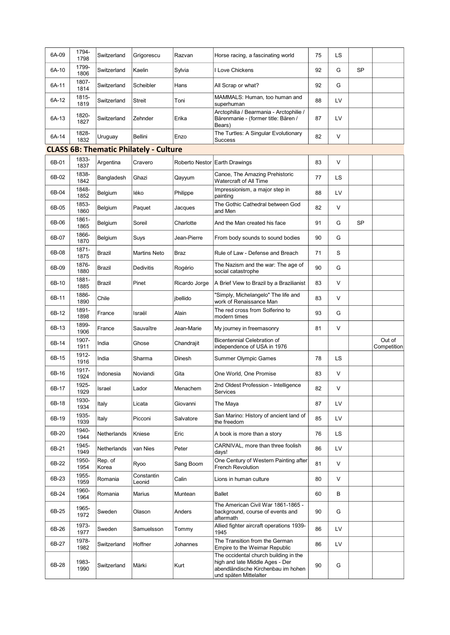| 6A-09 | 1794-<br>1798 | Switzerland      | Grigorescu                                    | Razvan         | Horse racing, a fascinating world                                                                                                        | 75 | LS        |           |                       |
|-------|---------------|------------------|-----------------------------------------------|----------------|------------------------------------------------------------------------------------------------------------------------------------------|----|-----------|-----------|-----------------------|
| 6A-10 | 1799-<br>1806 | Switzerland      | Kaelin                                        | Sylvia         | I Love Chickens                                                                                                                          | 92 | G         | <b>SP</b> |                       |
| 6A-11 | 1807-<br>1814 | Switzerland      | Scheibler                                     | Hans           | All Scrap or what?                                                                                                                       | 92 | G         |           |                       |
| 6A-12 | 1815-<br>1819 | Switzerland      | <b>Streit</b>                                 | Toni           | MAMMALS: Human, too human and<br>superhuman                                                                                              | 88 | LV        |           |                       |
| 6A-13 | 1820-<br>1827 | Switzerland      | Zehnder                                       | Erika          | Arctophilia / Bearmania - Arctophilie /<br>Bärenmanie - (former title: Bären /<br>Bears)                                                 | 87 | LV        |           |                       |
| 6A-14 | 1828-<br>1832 | Uruguay          | Bellini                                       | Enzo           | The Turtles: A Singular Evolutionary<br><b>Success</b>                                                                                   | 82 | $\vee$    |           |                       |
|       |               |                  | <b>CLASS 6B: Thematic Philately - Culture</b> |                |                                                                                                                                          |    |           |           |                       |
| 6B-01 | 1833-<br>1837 | Argentina        | Cravero                                       | Roberto Nestor | <b>Earth Drawings</b>                                                                                                                    | 83 | $\vee$    |           |                       |
| 6B-02 | 1838-<br>1842 | Bangladesh       | Ghazi                                         | Qayyum         | Canoe, The Amazing Prehistoric<br>Watercraft of All Time                                                                                 | 77 | <b>LS</b> |           |                       |
| 6B-04 | 1848-<br>1852 | Belgium          | léko                                          | Philippe       | Impressionism, a major step in<br>painting                                                                                               | 88 | LV        |           |                       |
| 6B-05 | 1853-<br>1860 | Belgium          | Paquet                                        | Jacques        | The Gothic Cathedral between God<br>and Men                                                                                              | 82 | $\vee$    |           |                       |
| 6B-06 | 1861-<br>1865 | Belgium          | Soreil                                        | Charlotte      | And the Man created his face                                                                                                             | 91 | G         | <b>SP</b> |                       |
| 6B-07 | 1866-<br>1870 | Belgium          | Suys                                          | Jean-Pierre    | From body sounds to sound bodies                                                                                                         | 90 | G         |           |                       |
| 6B-08 | 1871-<br>1875 | Brazil           | <b>Martins Neto</b>                           | Braz           | Rule of Law - Defense and Breach                                                                                                         | 71 | S         |           |                       |
| 6B-09 | 1876-<br>1880 | Brazil           | Dedivitis                                     | Rogério        | The Nazism and the war: The age of<br>social catastrophe                                                                                 | 90 | G         |           |                       |
| 6B-10 | 1881-<br>1885 | Brazil           | Pinet                                         | Ricardo Jorge  | A Brief View to Brazil by a Brazilianist                                                                                                 | 83 | $\vee$    |           |                       |
| 6B-11 | 1886-<br>1890 | Chile            |                                               | jbellido       | "Simply, Michelangelo" The life and<br>work of Renaissance Man                                                                           | 83 | $\vee$    |           |                       |
| 6B-12 | 1891-<br>1898 | France           | Israël                                        | Alain          | The red cross from Solferino to<br>modern times                                                                                          | 93 | G         |           |                       |
| 6B-13 | 1899-<br>1906 | France           | Sauvaître                                     | Jean-Marie     | My journey in freemasonry                                                                                                                | 81 | $\vee$    |           |                       |
| 6B-14 | 1907-<br>1911 | India            | Ghose                                         | Chandrajit     | <b>Bicentennial Celebration of</b><br>independence of USA in 1976                                                                        |    |           |           | Out of<br>Competition |
| 6B-15 | 1912-<br>1916 | India            | Sharma                                        | Dinesh         | <b>Summer Olympic Games</b>                                                                                                              | 78 | LS        |           |                       |
| 6B-16 | 1917-<br>1924 | Indonesia        | Noviandi                                      | Gita           | One World, One Promise                                                                                                                   | 83 | V         |           |                       |
| 6B-17 | 1925-<br>1929 | Israel           | Lador                                         | Menachem       | 2nd Oldest Profession - Intelligence<br>Services                                                                                         | 82 | $\vee$    |           |                       |
| 6B-18 | 1930-<br>1934 | Italy            | Licata                                        | Giovanni       | The Maya                                                                                                                                 | 87 | LV        |           |                       |
| 6B-19 | 1935-<br>1939 | Italy            | Picconi                                       | Salvatore      | San Marino: History of ancient land of<br>the freedom                                                                                    | 85 | LV        |           |                       |
| 6B-20 | 1940-<br>1944 | Netherlands      | Kniese                                        | Eric           | A book is more than a story                                                                                                              | 76 | LS        |           |                       |
| 6B-21 | 1945-<br>1949 | Netherlands      | van Nies                                      | Peter          | CARNIVAL, more than three foolish<br>days!                                                                                               | 86 | LV        |           |                       |
| 6B-22 | 1950-<br>1954 | Rep. of<br>Korea | Ryoo                                          | Sang Boom      | One Century of Western Painting after<br>French Revolution                                                                               | 81 | V         |           |                       |
| 6B-23 | 1955-<br>1959 | Romania          | Constantin<br>Leonid                          | Calin          | Lions in human culture                                                                                                                   | 80 | V         |           |                       |
| 6B-24 | 1960-<br>1964 | Romania          | <b>Marius</b>                                 | Muntean        | Ballet                                                                                                                                   | 60 | B         |           |                       |
| 6B-25 | 1965-<br>1972 | Sweden           | Olason                                        | Anders         | The American Civil War 1861-1865 -<br>background, course of events and<br>aftermath                                                      | 90 | G         |           |                       |
| 6B-26 | 1973-<br>1977 | Sweden           | Samuelsson                                    | Tommy          | Allied fighter aircraft operations 1939-<br>1945                                                                                         | 86 | LV        |           |                       |
| 6B-27 | 1978-<br>1982 | Switzerland      | Hoffner                                       | Johannes       | The Transition from the German<br>Empire to the Weimar Republic                                                                          | 86 | LV        |           |                       |
| 6B-28 | 1983-<br>1990 | Switzerland      | Märki                                         | Kurt           | The occidental church building in the<br>high and late Middle Ages - Der<br>abendländische Kirchenbau im hohen<br>und späten Mittelalter | 90 | G         |           |                       |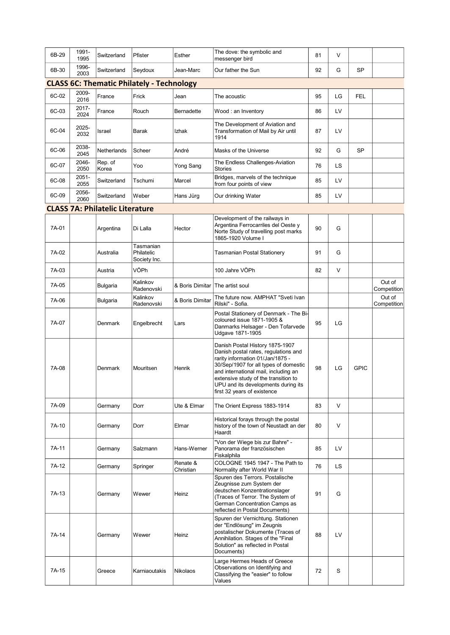| 6B-29 | 1991-<br>1995 | Switzerland                            | Pfister                                          | Esther                            | The dove: the symbolic and<br>messenger bird                                                                                                                                                                                                                                                               | 81 | V      |             |                       |
|-------|---------------|----------------------------------------|--------------------------------------------------|-----------------------------------|------------------------------------------------------------------------------------------------------------------------------------------------------------------------------------------------------------------------------------------------------------------------------------------------------------|----|--------|-------------|-----------------------|
| 6B-30 | 1996-<br>2003 | Switzerland                            | Seydoux                                          | Jean-Marc                         | Our father the Sun                                                                                                                                                                                                                                                                                         | 92 | G      | <b>SP</b>   |                       |
|       |               |                                        | <b>CLASS 6C: Thematic Philately - Technology</b> |                                   |                                                                                                                                                                                                                                                                                                            |    |        |             |                       |
| 6C-02 | 2009-<br>2016 | France                                 | Frick                                            | Jean                              | The acoustic                                                                                                                                                                                                                                                                                               | 95 | LG     | <b>FEL</b>  |                       |
| 6C-03 | 2017-<br>2024 | France                                 | Rouch                                            | Bernadette                        | Wood: an Inventory                                                                                                                                                                                                                                                                                         | 86 | LV     |             |                       |
| 6C-04 | 2025-<br>2032 | Israel                                 | Barak                                            | Izhak                             | The Development of Aviation and<br>Transformation of Mail by Air until<br>1914                                                                                                                                                                                                                             | 87 | LV     |             |                       |
| 6C-06 | 2038-<br>2045 | Netherlands                            | Scheer                                           | André                             | Masks of the Universe                                                                                                                                                                                                                                                                                      | 92 | G      | <b>SP</b>   |                       |
| 6C-07 | 2046-<br>2050 | Rep. of<br>Korea                       | Yoo                                              | Yong Sang                         | The Endless Challenges-Aviation<br><b>Stories</b>                                                                                                                                                                                                                                                          | 76 | LS     |             |                       |
| 6C-08 | 2051-<br>2055 | Switzerland                            | Tschumi                                          | Marcel                            | Bridges, marvels of the technique<br>from four points of view                                                                                                                                                                                                                                              | 85 | LV     |             |                       |
| 6C-09 | 2056-<br>2060 | Switzerland                            | Weber                                            | Hans Jürg                         | Our drinking Water                                                                                                                                                                                                                                                                                         | 85 | LV     |             |                       |
|       |               | <b>CLASS 7A: Philatelic Literature</b> |                                                  |                                   |                                                                                                                                                                                                                                                                                                            |    |        |             |                       |
| 7A-01 |               | Argentina                              | Di Lalla                                         | Hector                            | Development of the railways in<br>Argentina Ferrocarriles del Oeste y<br>Norte Study of travelling post marks<br>1865-1920 Volume I                                                                                                                                                                        | 90 | G      |             |                       |
| 7A-02 |               | Australia                              | Tasmanian<br>Philatelic<br>Society Inc.          |                                   | Tasmanian Postal Stationery                                                                                                                                                                                                                                                                                | 91 | G      |             |                       |
| 7A-03 |               | Austria                                | VÖPh                                             |                                   | 100 Jahre VÖPh                                                                                                                                                                                                                                                                                             | 82 | $\vee$ |             |                       |
| 7A-05 |               | Bulgaria                               | Kalinkov<br>Radenovski                           | & Boris Dimitar   The artist soul |                                                                                                                                                                                                                                                                                                            |    |        |             | Out of<br>Competition |
| 7A-06 |               | Bulgaria                               | Kalinkov<br>Radenovski                           | & Boris Dimitar                   | The future now. AMPHAT "Sveti Ivan<br>Rilski" - Sofia.                                                                                                                                                                                                                                                     |    |        |             | Out of<br>Competition |
| 7A-07 |               | Denmark                                | Engelbrecht                                      | Lars                              | Postal Stationery of Denmark - The Bi-<br>coloured issue 1871-1905 &<br>Danmarks Helsager - Den Tofarvede<br>Udgave 1871-1905                                                                                                                                                                              | 95 | LG     |             |                       |
| 7A-08 |               | Denmark                                | Mouritsen                                        | Henrik                            | Danish Postal History 1875-1907<br>Danish postal rates, regulations and<br>rarity information 01/Jan/1875 -<br>30/Sep/1907 for all types of domestic<br>and international mail, including an<br>extensive study of the transition to<br>UPU and its developments during its<br>first 32 years of existence | 98 | LG     | <b>GPIC</b> |                       |
| 7A-09 |               | Germany                                | Dorr                                             | Ute & Elmar                       | The Orient Express 1883-1914                                                                                                                                                                                                                                                                               | 83 | V      |             |                       |
| 7A-10 |               | Germany                                | Dorr                                             | Elmar                             | Historical forays through the postal<br>history of the town of Neustadt an der<br>Haardt                                                                                                                                                                                                                   | 80 | $\vee$ |             |                       |
| 7A-11 |               | Germany                                | Salzmann                                         | Hans-Werner                       | "Von der Wiege bis zur Bahre" -<br>Panorama der französischen<br>Fiskalphila                                                                                                                                                                                                                               | 85 | LV     |             |                       |
| 7A-12 |               | Germany                                | Springer                                         | Renate &<br>Christian             | COLOGNE 1945 1947 - The Path to<br>Normality after World War II                                                                                                                                                                                                                                            | 76 | LS.    |             |                       |
| 7A-13 |               | Germany                                | Wewer                                            | Heinz                             | Spuren des Terrors. Postalische<br>Zeugnisse zum System der<br>deutschen Konzentrationslager<br>(Traces of Terror. The System of<br>German Concentration Camps as<br>reflected in Postal Documents)                                                                                                        | 91 | G      |             |                       |
| 7A-14 |               | Germany                                | Wewer                                            | Heinz                             | Spuren der Vernichtung, Stationen<br>der "Endlösung" im Zeugnis<br>postalischer Dokumente (Traces of<br>Annihilation. Stages of the "Final<br>Solution" as reflected in Postal<br>Documents)                                                                                                               | 88 | LV     |             |                       |
| 7A-15 |               | Greece                                 | Karniaoutakis                                    | <b>Nikolaos</b>                   | Large Hermes Heads of Greece<br>Observations on Identifying and<br>Classifying the "easier" to follow<br>Values                                                                                                                                                                                            | 72 | S      |             |                       |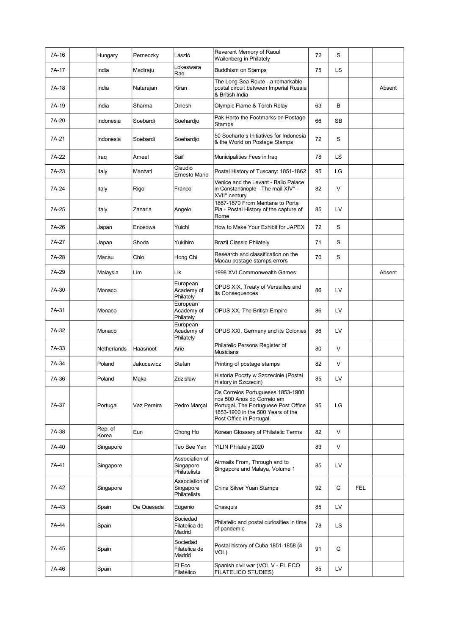| 7A-16 | Hungary          | Perneczky   | László                                      | Reverent Memory of Raoul<br>Wailenberg in Philately                                                                                                                      | 72 | S         |            |        |
|-------|------------------|-------------|---------------------------------------------|--------------------------------------------------------------------------------------------------------------------------------------------------------------------------|----|-----------|------------|--------|
| 7A-17 | India            | Madiraju    | Lokeswara<br>Rao                            | <b>Buddhism on Stamps</b>                                                                                                                                                | 75 | LS        |            |        |
| 7A-18 | India            | Natarajan   | Kiran                                       | The Long Sea Route - a remarkable<br>postal circuit between Imperial Russia<br>& British India                                                                           |    |           |            | Absent |
| 7A-19 | India            | Sharma      | Dinesh                                      | Olympic Flame & Torch Relay                                                                                                                                              | 63 | B         |            |        |
| 7A-20 | Indonesia        | Soebardi    | Soehardjo                                   | Pak Harto the Footmarks on Postage<br><b>Stamps</b>                                                                                                                      | 66 | <b>SB</b> |            |        |
| 7A-21 | Indonesia        | Soebardi    | Soehardjo                                   | 50 Soeharto's Initiatives for Indonesia<br>& the World on Postage Stamps                                                                                                 | 72 | S         |            |        |
| 7A-22 | Iraq             | Ameel       | Saif                                        | Municipalities Fees in Iraq                                                                                                                                              | 78 | LS        |            |        |
| 7A-23 | Italy            | Manzati     | Claudio<br><b>Ernesto Mario</b>             | Postal History of Tuscany: 1851-1862                                                                                                                                     | 95 | LG        |            |        |
| 7A-24 | Italy            | Rigo        | Franco                                      | Venice and the Levant - Bailo Palace<br>in Constantinople - The mail XIV° -<br>XVII° century                                                                             | 82 | V         |            |        |
| 7A-25 | Italy            | Zanaria     | Angelo                                      | 1867-1870 From Mentana to Porta<br>Pia - Postal History of the capture of<br>Rome                                                                                        | 85 | LV        |            |        |
| 7A-26 | Japan            | Enosowa     | Yuichi                                      | How to Make Your Exhibit for JAPEX                                                                                                                                       | 72 | S         |            |        |
| 7A-27 | Japan            | Shoda       | Yukihiro                                    | <b>Brazil Classic Philately</b>                                                                                                                                          | 71 | S         |            |        |
| 7A-28 | Macau            | Chio        | Hong Chi                                    | Research and classification on the<br>Macau postage stamps errors                                                                                                        | 70 | S         |            |        |
| 7A-29 | Malaysia         | Lim         | Lik                                         | 1998 XVI Commonwealth Games                                                                                                                                              |    |           |            | Absent |
| 7A-30 | Monaco           |             | European<br>Academy of<br>Philately         | OPUS XIX, Treaty of Versailles and<br>its Consequences                                                                                                                   | 86 | LV        |            |        |
| 7A-31 | Monaco           |             | European<br>Academy of<br>Philately         | OPUS XX, The British Empire                                                                                                                                              | 86 | LV        |            |        |
| 7A-32 | Monaco           |             | European<br>Academy of<br>Philately         | OPUS XXI, Germany and its Colonies                                                                                                                                       | 86 | LV        |            |        |
| 7A-33 | Netherlands      | Haasnoot    | Arie                                        | Philatelic Persons Register of<br>Musicians                                                                                                                              | 80 | V         |            |        |
| 7A-34 | Poland           | Jakucewicz  | Stefan                                      | Printing of postage stamps                                                                                                                                               | 82 | V         |            |        |
| 7A-36 | Poland           | Mąka        | Zdzisław                                    | Historia Poczty w Szczecinie (Postal<br>History in Szczecin)                                                                                                             | 85 | LV        |            |        |
| 7A-37 | Portugal         | Vaz Pereira | Pedro Marçal                                | Os Correios Portugueses 1853-1900<br>nos 500 Anos do Correio em<br>Portugal. The Portuguese Post Office<br>1853-1900 in the 500 Years of the<br>Post Office in Portugal. | 95 | LG        |            |        |
| 7A-38 | Rep. of<br>Korea | Eun         | Chong Ho                                    | Korean Glossary of Philatelic Terms                                                                                                                                      | 82 | V         |            |        |
| 7A-40 | Singapore        |             | Teo Bee Yen                                 | YILIN Philately 2020                                                                                                                                                     | 83 | V         |            |        |
| 7A-41 | Singapore        |             | Association of<br>Singapore<br>Philatelists | Airmails From, Through and to<br>Singapore and Malaya, Volume 1                                                                                                          | 85 | LV        |            |        |
| 7A-42 | Singapore        |             | Association of<br>Singapore<br>Philatelists | China Silver Yuan Stamps                                                                                                                                                 | 92 | G         | <b>FEL</b> |        |
| 7A-43 | Spain            | De Quesada  | Eugenio                                     | Chasquis                                                                                                                                                                 | 85 | LV        |            |        |
| 7A-44 | Spain            |             | Sociedad<br>Filatelica de<br>Madrid         | Philatelic and postal curiosities in time<br>of pandemic                                                                                                                 | 78 | LS.       |            |        |
| 7A-45 | Spain            |             | Sociedad<br>Filatelica de<br>Madrid         | Postal history of Cuba 1851-1858 (4<br>VOL)                                                                                                                              | 91 | G         |            |        |
| 7A-46 | Spain            |             | El Eco<br>Filatelico                        | Spanish civil war (VOL V - EL ECO<br>FILATELICO STUDIES)                                                                                                                 | 85 | LV        |            |        |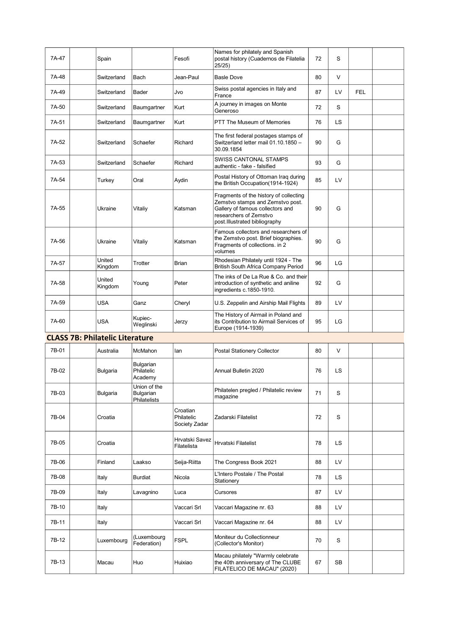| 7A-47 | Spain             |                      | Fesofi       | Names for philately and Spanish<br>postal history (Cuadernos de Filatelia<br>25/25                                                                                        | 72 | S         |     |  |
|-------|-------------------|----------------------|--------------|---------------------------------------------------------------------------------------------------------------------------------------------------------------------------|----|-----------|-----|--|
| 7A-48 | Switzerland       | Bach                 | Jean-Paul    | <b>Basle Dove</b>                                                                                                                                                         | 80 | V         |     |  |
| 7A-49 | Switzerland       | Bader                | Jvo          | Swiss postal agencies in Italy and<br>France                                                                                                                              | 87 | LV        | FEL |  |
| 7A-50 | Switzerland       | Baumgartner          | Kurt         | A journey in images on Monte<br>Generoso                                                                                                                                  | 72 | S         |     |  |
| 7A-51 | Switzerland       | Baumgartner          | Kurt         | PTT The Museum of Memories                                                                                                                                                | 76 | <b>LS</b> |     |  |
| 7A-52 | Switzerland       | Schaefer             | Richard      | The first federal postages stamps of<br>Switzerland letter mail 01.10.1850 -<br>30.09.1854                                                                                | 90 | G         |     |  |
| 7A-53 | Switzerland       | Schaefer             | Richard      | <b>SWISS CANTONAL STAMPS</b><br>authentic - fake - falsified                                                                                                              | 93 | G         |     |  |
| 7A-54 | Turkey            | Oral                 | Aydin        | Postal History of Ottoman Iraq during<br>the British Occupation(1914-1924)                                                                                                | 85 | LV        |     |  |
| 7A-55 | Ukraine           | Vitaliy              | Katsman      | Fragments of the history of collecting<br>Zemstvo stamps and Zemstvo post.<br>Gallery of famous collectors and<br>researchers of Zemstvo<br>post.Illustrated bibliography | 90 | G         |     |  |
| 7A-56 | Ukraine           | Vitaliv              | Katsman      | Famous collectors and researchers of<br>the Zemstvo post. Brief biographies.<br>Fragments of collections. in 2<br>volumes                                                 | 90 | G         |     |  |
| 7A-57 | United<br>Kingdom | Trotter              | <b>Brian</b> | Rhodesian Philately until 1924 - The<br>British South Africa Company Period                                                                                               | 96 | LG        |     |  |
| 7A-58 | United<br>Kingdom | Young                | Peter        | The inks of De La Rue & Co. and their<br>introduction of synthetic and aniline<br>ingredients c.1850-1910.                                                                | 92 | G         |     |  |
| 7A-59 | <b>USA</b>        | Ganz                 | Cheryl       | U.S. Zeppelin and Airship Mail Flights                                                                                                                                    | 89 | LV        |     |  |
| 7A-60 | <b>USA</b>        | Kupiec-<br>Weglinski | Jerzy        | The History of Airmail in Poland and<br>its Contribution to Airmail Services of<br>Europe (1914-1939)                                                                     | 95 | LG        |     |  |

## CLASS 7B: Philatelic Literature

| 7B-01 | Australia  | McMahon                                   | lan                                     | Postal Stationery Collector                                                                           | 80 | $\vee$    |  |
|-------|------------|-------------------------------------------|-----------------------------------------|-------------------------------------------------------------------------------------------------------|----|-----------|--|
| 7B-02 | Bulgaria   | Bulgarian<br>Philatelic<br>Academy        |                                         | Annual Bulletin 2020                                                                                  | 76 | <b>LS</b> |  |
| 7B-03 | Bulgaria   | Union of the<br>Bulgarian<br>Philatelists |                                         | Philatelen pregled / Philatelic review<br>magazine                                                    | 71 | S         |  |
| 7B-04 | Croatia    |                                           | Croatian<br>Philatelic<br>Society Zadar | Zadarski Filatelist                                                                                   | 72 | S         |  |
| 7B-05 | Croatia    |                                           | Hrvatski Savez<br>Filatelista           | Hrvatski Filatelist                                                                                   | 78 | LS        |  |
| 7B-06 | Finland    | Laakso                                    | Seija-Riitta                            | The Congress Book 2021                                                                                | 88 | LV        |  |
| 7B-08 | Italy      | Burdiat                                   | Nicola                                  | L'Intero Postale / The Postal<br>Stationery                                                           | 78 | <b>LS</b> |  |
| 7B-09 | Italy      | Lavagnino                                 | Luca                                    | Cursores                                                                                              | 87 | LV        |  |
| 7B-10 | Italy      |                                           | Vaccari Srl                             | Vaccari Magazine nr. 63                                                                               | 88 | LV        |  |
| 7B-11 | Italy      |                                           | Vaccari Srl                             | Vaccari Magazine nr. 64                                                                               | 88 | LV        |  |
| 7B-12 | Luxembourg | (Luxembourg<br>Federation)                | <b>FSPL</b>                             | Moniteur du Collectionneur<br>(Collector's Monitor)                                                   | 70 | S         |  |
| 7B-13 | Macau      | Huo                                       | Huixiao                                 | Macau philately "Warmly celebrate<br>the 40th anniversary of The CLUBE<br>FILATELICO DE MACAU" (2020) | 67 | <b>SB</b> |  |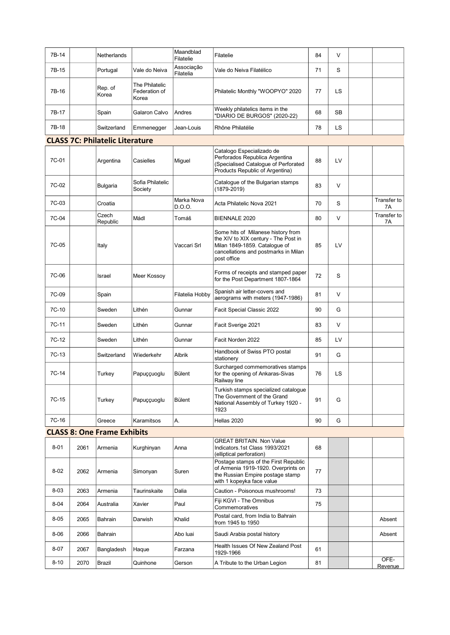| 7B-14    |      | Netherlands                            |                                          | Maandblad<br>Filatelie  | Filatelie                                                                                                                                                          | 84 | $\vee$ |                   |
|----------|------|----------------------------------------|------------------------------------------|-------------------------|--------------------------------------------------------------------------------------------------------------------------------------------------------------------|----|--------|-------------------|
| 7B-15    |      | Portugal                               | Vale do Neiva                            | Associação<br>Filatelia | Vale do Neiva Filatélico                                                                                                                                           | 71 | S      |                   |
| 7B-16    |      | Rep. of<br>Korea                       | The Philatelic<br>Federation of<br>Korea |                         | Philatelic Monthly "WOOPYO" 2020                                                                                                                                   | 77 | LS     |                   |
| 7B-17    |      | Spain                                  | Galaron Calvo                            | Andres                  | Weekly philatelics items in the<br>'DIARIO DE BURGOS" (2020-22)                                                                                                    | 68 | SB     |                   |
| 7B-18    |      | Switzerland                            | Emmenegger                               | Jean-Louis              | Rhône Philatélie                                                                                                                                                   | 78 | LS     |                   |
|          |      | <b>CLASS 7C: Philatelic Literature</b> |                                          |                         |                                                                                                                                                                    |    |        |                   |
| 7C-01    |      | Argentina                              | Casielles                                | Miguel                  | Catalogo Especializado de<br>Perforados Republica Argentina<br>(Specialised Cataloque of Perforated<br>Products Republic of Argentina)                             | 88 | LV     |                   |
| 7C-02    |      | Bulgaria                               | Sofia Philatelic<br>Society              |                         | Catalogue of the Bulgarian stamps<br>$(1879 - 2019)$                                                                                                               | 83 | $\vee$ |                   |
| 7C-03    |      | Croatia                                |                                          | Marka Nova<br>D.O.O.    | Acta Philatelic Nova 2021                                                                                                                                          | 70 | S      | Transfer to<br>7A |
| 7C-04    |      | Czech<br>Republic                      | Mádl                                     | Tomáš                   | <b>BIENNALE 2020</b>                                                                                                                                               | 80 | V      | Transfer to<br>7A |
| 7C-05    |      | Italy                                  |                                          | Vaccari Srl             | Some hits of Milanese history from<br>the XIV to XIX century - The Post in<br>Milan 1849-1859. Catalogue of<br>cancellations and postmarks in Milan<br>post office | 85 | LV     |                   |
| 7C-06    |      | Israel                                 | Meer Kossoy                              |                         | Forms of receipts and stamped paper<br>for the Post Department 1807-1864                                                                                           | 72 | S      |                   |
| 7C-09    |      | Spain                                  |                                          | Filatelia Hobby         | Spanish air letter-covers and<br>aerograms with meters (1947-1986)                                                                                                 | 81 | $\vee$ |                   |
| 7C-10    |      | Sweden                                 | Lithén                                   | Gunnar                  | Facit Special Classic 2022                                                                                                                                         | 90 | G      |                   |
| $7C-11$  |      | Sweden                                 | Lithén                                   | Gunnar                  | Facit Sverige 2021                                                                                                                                                 | 83 | V      |                   |
| 7C-12    |      | Sweden                                 | Lithén                                   | Gunnar                  | Facit Norden 2022                                                                                                                                                  | 85 | LV     |                   |
| $7C-13$  |      | Switzerland                            | Wiederkehr                               | Albrik                  | Handbook of Swiss PTO postal<br>stationery                                                                                                                         | 91 | G      |                   |
| 7C-14    |      | Turkey                                 | Papuççuoglu                              | Bülent                  | Surcharged commemoratives stamps<br>for the opening of Ankaras-Sivas<br>Railway line                                                                               | 76 | LS     |                   |
| $7C-15$  |      | Turkey                                 | Papuççuoglu                              | Bülent                  | Turkish stamps specialized catalogue<br>The Government of the Grand<br>National Assembly of Turkey 1920 -<br>1923                                                  | 91 | G      |                   |
| 7C-16    |      | Greece                                 | Karamitsos                               | A.                      | Hellas 2020                                                                                                                                                        | 90 | G      |                   |
|          |      | <b>CLASS 8: One Frame Exhibits</b>     |                                          |                         |                                                                                                                                                                    |    |        |                   |
| $8 - 01$ | 2061 | Armenia                                | Kurghinyan                               | Anna                    | <b>GREAT BRITAIN. Non Value</b><br>Indicators.1st Class 1993/2021<br>(elliptical perforation)                                                                      | 68 |        |                   |
| $8 - 02$ | 2062 | Armenia                                | Simonyan                                 | Suren                   | Postage stamps of the First Republic<br>of Armenia 1919-1920. Overprints on<br>the Russian Empire postage stamp<br>with 1 kopeyka face value                       | 77 |        |                   |
| $8 - 03$ | 2063 | Armenia                                | Taurinskaite                             | Dalia                   | Caution - Poisonous mushrooms!                                                                                                                                     | 73 |        |                   |
| $8 - 04$ | 2064 | Australia                              | Xavier                                   | Paul                    | Fiji KGVI - The Omnibus<br>Commemoratives                                                                                                                          | 75 |        |                   |
| $8 - 05$ | 2065 | Bahrain                                | Darwish                                  | Khalid                  | Postal card, from India to Bahrain<br>from 1945 to 1950                                                                                                            |    |        | Absent            |
| $8 - 06$ | 2066 | Bahrain                                |                                          | Abo luai                | Saudi Arabia postal history                                                                                                                                        |    |        | Absent            |
| $8 - 07$ | 2067 | Bangladesh                             | Haque                                    | Farzana                 | Health Issues Of New Zealand Post<br>1929-1966                                                                                                                     | 61 |        |                   |
| $8 - 10$ | 2070 | Brazil                                 | Quinhone                                 | Gerson                  | A Tribute to the Urban Legion                                                                                                                                      | 81 |        | OFE-<br>Revenue   |